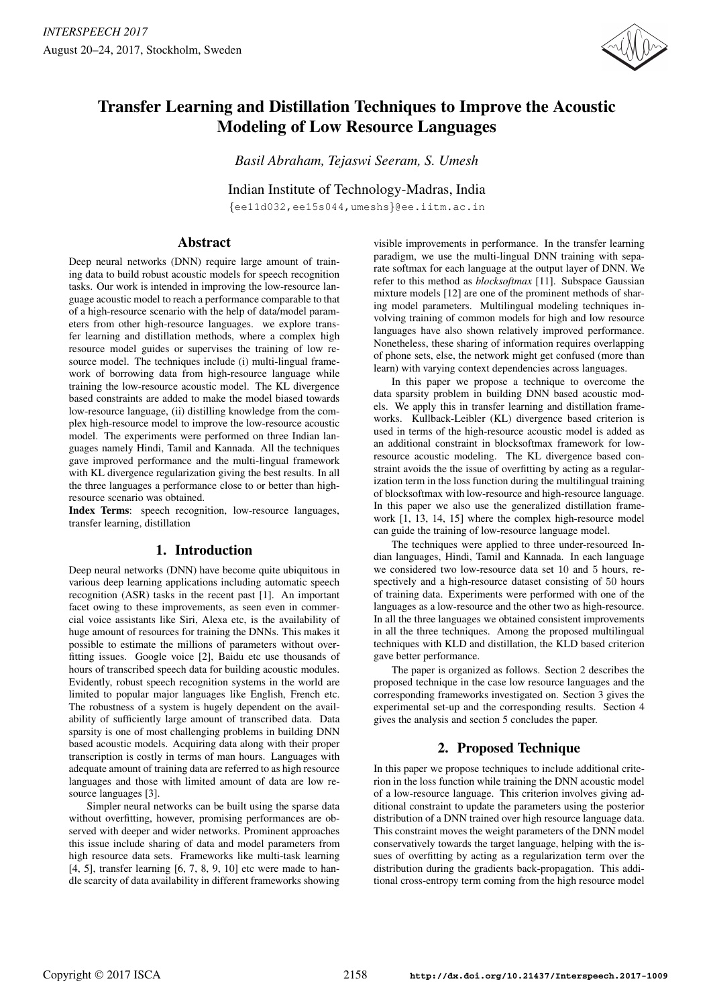

# Transfer Learning and Distillation Techniques to Improve the Acoustic Modeling of Low Resource Languages

*Basil Abraham, Tejaswi Seeram, S. Umesh*

Indian Institute of Technology-Madras, India

{ee11d032,ee15s044,umeshs}@ee.iitm.ac.in

### Abstract

Deep neural networks (DNN) require large amount of training data to build robust acoustic models for speech recognition tasks. Our work is intended in improving the low-resource language acoustic model to reach a performance comparable to that of a high-resource scenario with the help of data/model parameters from other high-resource languages. we explore transfer learning and distillation methods, where a complex high resource model guides or supervises the training of low resource model. The techniques include (i) multi-lingual framework of borrowing data from high-resource language while training the low-resource acoustic model. The KL divergence based constraints are added to make the model biased towards low-resource language, (ii) distilling knowledge from the complex high-resource model to improve the low-resource acoustic model. The experiments were performed on three Indian languages namely Hindi, Tamil and Kannada. All the techniques gave improved performance and the multi-lingual framework with KL divergence regularization giving the best results. In all the three languages a performance close to or better than highresource scenario was obtained.

Index Terms: speech recognition, low-resource languages, transfer learning, distillation

# 1. Introduction

Deep neural networks (DNN) have become quite ubiquitous in various deep learning applications including automatic speech recognition (ASR) tasks in the recent past [1]. An important facet owing to these improvements, as seen even in commercial voice assistants like Siri, Alexa etc, is the availability of huge amount of resources for training the DNNs. This makes it possible to estimate the millions of parameters without overfitting issues. Google voice [2], Baidu etc use thousands of hours of transcribed speech data for building acoustic modules. Evidently, robust speech recognition systems in the world are limited to popular major languages like English, French etc. The robustness of a system is hugely dependent on the availability of sufficiently large amount of transcribed data. Data sparsity is one of most challenging problems in building DNN based acoustic models. Acquiring data along with their proper transcription is costly in terms of man hours. Languages with adequate amount of training data are referred to as high resource languages and those with limited amount of data are low resource languages [3].

Simpler neural networks can be built using the sparse data without overfitting, however, promising performances are observed with deeper and wider networks. Prominent approaches this issue include sharing of data and model parameters from high resource data sets. Frameworks like multi-task learning  $[4, 5]$ , transfer learning  $[6, 7, 8, 9, 10]$  etc were made to handle scarcity of data availability in different frameworks showing visible improvements in performance. In the transfer learning paradigm, we use the multi-lingual DNN training with separate softmax for each language at the output layer of DNN. We refer to this method as *blocksoftmax* [11]. Subspace Gaussian mixture models [12] are one of the prominent methods of sharing model parameters. Multilingual modeling techniques involving training of common models for high and low resource languages have also shown relatively improved performance. Nonetheless, these sharing of information requires overlapping of phone sets, else, the network might get confused (more than learn) with varying context dependencies across languages.

In this paper we propose a technique to overcome the data sparsity problem in building DNN based acoustic models. We apply this in transfer learning and distillation frameworks. Kullback-Leibler (KL) divergence based criterion is used in terms of the high-resource acoustic model is added as an additional constraint in blocksoftmax framework for lowresource acoustic modeling. The KL divergence based constraint avoids the the issue of overfitting by acting as a regularization term in the loss function during the multilingual training of blocksoftmax with low-resource and high-resource language. In this paper we also use the generalized distillation framework [1, 13, 14, 15] where the complex high-resource model can guide the training of low-resource language model.

The techniques were applied to three under-resourced Indian languages, Hindi, Tamil and Kannada. In each language we considered two low-resource data set 10 and 5 hours, respectively and a high-resource dataset consisting of 50 hours of training data. Experiments were performed with one of the languages as a low-resource and the other two as high-resource. In all the three languages we obtained consistent improvements in all the three techniques. Among the proposed multilingual techniques with KLD and distillation, the KLD based criterion gave better performance.

The paper is organized as follows. Section 2 describes the proposed technique in the case low resource languages and the corresponding frameworks investigated on. Section 3 gives the experimental set-up and the corresponding results. Section 4 gives the analysis and section 5 concludes the paper.

# 2. Proposed Technique

In this paper we propose techniques to include additional criterion in the loss function while training the DNN acoustic model of a low-resource language. This criterion involves giving additional constraint to update the parameters using the posterior distribution of a DNN trained over high resource language data. This constraint moves the weight parameters of the DNN model conservatively towards the target language, helping with the issues of overfitting by acting as a regularization term over the distribution during the gradients back-propagation. This additional cross-entropy term coming from the high resource model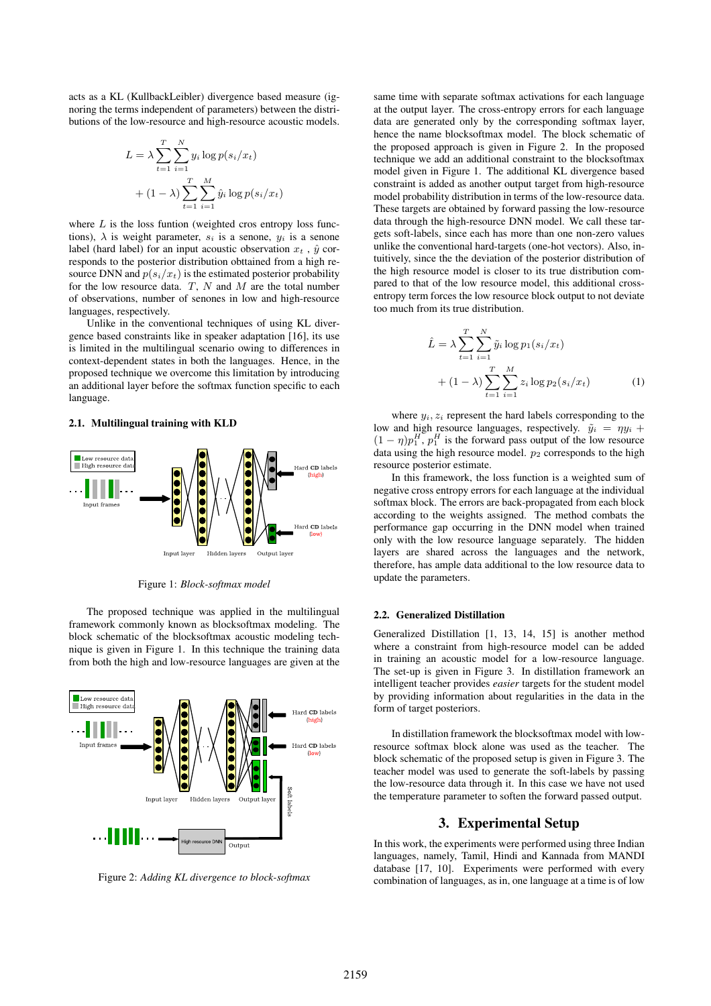acts as a KL (KullbackLeibler) divergence based measure (ignoring the terms independent of parameters) between the distributions of the low-resource and high-resource acoustic models.

$$
L = \lambda \sum_{t=1}^{T} \sum_{i=1}^{N} y_i \log p(s_i/x_t)
$$
  
+  $(1 - \lambda) \sum_{t=1}^{T} \sum_{i=1}^{M} \hat{y}_i \log p(s_i/x_t)$ 

where  $L$  is the loss funtion (weighted cros entropy loss functions),  $\lambda$  is weight parameter,  $s_i$  is a senone,  $y_i$  is a senone label (hard label) for an input acoustic observation  $x_t$ ,  $\hat{y}$  corresponds to the posterior distribution obttained from a high resource DNN and  $p(s_i/x_t)$  is the estimated posterior probability for the low resource data.  $T$ ,  $N$  and  $M$  are the total number of observations, number of senones in low and high-resource languages, respectively.

Unlike in the conventional techniques of using KL divergence based constraints like in speaker adaptation [16], its use is limited in the multilingual scenario owing to differences in context-dependent states in both the languages. Hence, in the proposed technique we overcome this limitation by introducing an additional layer before the softmax function specific to each language.

### 2.1. Multilingual training with KLD



Figure 1: *Block-softmax model*

The proposed technique was applied in the multilingual framework commonly known as blocksoftmax modeling. The block schematic of the blocksoftmax acoustic modeling technique is given in Figure 1. In this technique the training data from both the high and low-resource languages are given at the



Figure 2: *Adding KL divergence to block-softmax*

same time with separate softmax activations for each language at the output layer. The cross-entropy errors for each language data are generated only by the corresponding softmax layer, hence the name blocksoftmax model. The block schematic of the proposed approach is given in Figure 2. In the proposed technique we add an additional constraint to the blocksoftmax model given in Figure 1. The additional KL divergence based constraint is added as another output target from high-resource model probability distribution in terms of the low-resource data. These targets are obtained by forward passing the low-resource data through the high-resource DNN model. We call these targets soft-labels, since each has more than one non-zero values unlike the conventional hard-targets (one-hot vectors). Also, intuitively, since the the deviation of the posterior distribution of the high resource model is closer to its true distribution compared to that of the low resource model, this additional crossentropy term forces the low resource block output to not deviate too much from its true distribution.

$$
\hat{L} = \lambda \sum_{t=1}^{T} \sum_{i=1}^{N} \tilde{y}_i \log p_1(s_i/x_t) + (1 - \lambda) \sum_{t=1}^{T} \sum_{i=1}^{M} z_i \log p_2(s_i/x_t)
$$
(1)

where  $y_i, z_i$  represent the hard labels corresponding to the low and high resource languages, respectively.  $\tilde{y}_i = \eta y_i +$  $(1 - \eta)p_1^H$ ,  $p_1^H$  is the forward pass output of the low resource data using the high resource model.  $p_2$  corresponds to the high resource posterior estimate.

In this framework, the loss function is a weighted sum of negative cross entropy errors for each language at the individual softmax block. The errors are back-propagated from each block according to the weights assigned. The method combats the performance gap occurring in the DNN model when trained only with the low resource language separately. The hidden layers are shared across the languages and the network, therefore, has ample data additional to the low resource data to update the parameters.

#### 2.2. Generalized Distillation

Generalized Distillation [1, 13, 14, 15] is another method where a constraint from high-resource model can be added in training an acoustic model for a low-resource language. The set-up is given in Figure 3. In distillation framework an intelligent teacher provides *easier* targets for the student model by providing information about regularities in the data in the form of target posteriors.

In distillation framework the blocksoftmax model with lowresource softmax block alone was used as the teacher. The block schematic of the proposed setup is given in Figure 3. The teacher model was used to generate the soft-labels by passing the low-resource data through it. In this case we have not used the temperature parameter to soften the forward passed output.

### 3. Experimental Setup

In this work, the experiments were performed using three Indian languages, namely, Tamil, Hindi and Kannada from MANDI database [17, 10]. Experiments were performed with every combination of languages, as in, one language at a time is of low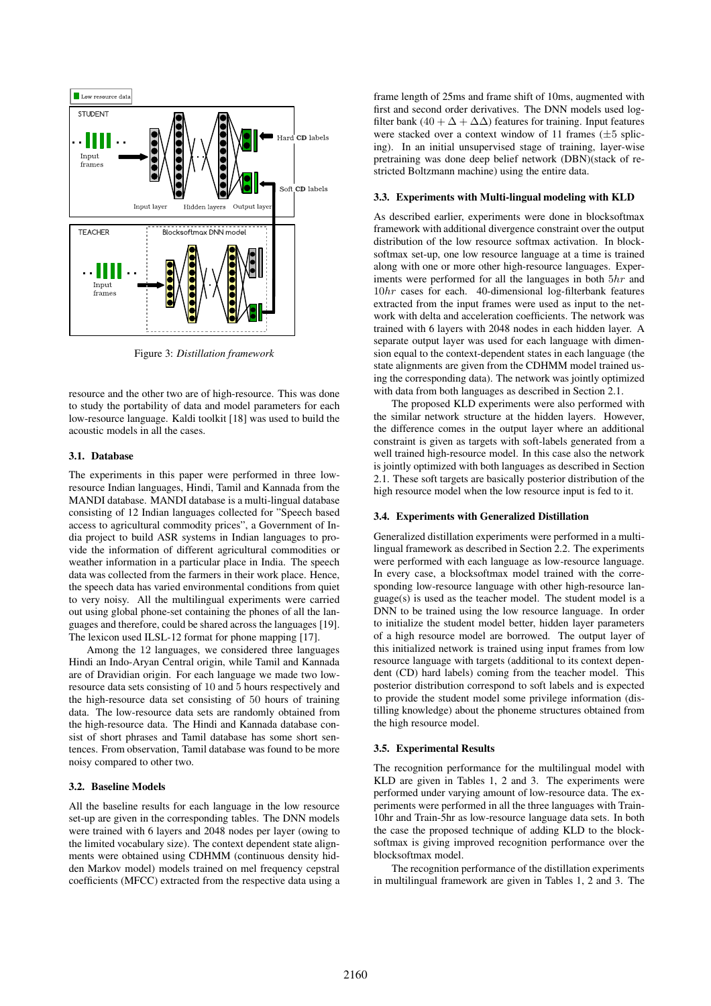

Figure 3: *Distillation framework*

resource and the other two are of high-resource. This was done to study the portability of data and model parameters for each low-resource language. Kaldi toolkit [18] was used to build the acoustic models in all the cases.

#### 3.1. Database

The experiments in this paper were performed in three lowresource Indian languages, Hindi, Tamil and Kannada from the MANDI database. MANDI database is a multi-lingual database consisting of 12 Indian languages collected for "Speech based access to agricultural commodity prices", a Government of India project to build ASR systems in Indian languages to provide the information of different agricultural commodities or weather information in a particular place in India. The speech data was collected from the farmers in their work place. Hence, the speech data has varied environmental conditions from quiet to very noisy. All the multilingual experiments were carried out using global phone-set containing the phones of all the languages and therefore, could be shared across the languages [19]. The lexicon used ILSL-12 format for phone mapping [17].

Among the 12 languages, we considered three languages Hindi an Indo-Aryan Central origin, while Tamil and Kannada are of Dravidian origin. For each language we made two lowresource data sets consisting of 10 and 5 hours respectively and the high-resource data set consisting of 50 hours of training data. The low-resource data sets are randomly obtained from the high-resource data. The Hindi and Kannada database consist of short phrases and Tamil database has some short sentences. From observation, Tamil database was found to be more noisy compared to other two.

#### 3.2. Baseline Models

All the baseline results for each language in the low resource set-up are given in the corresponding tables. The DNN models were trained with 6 layers and 2048 nodes per layer (owing to the limited vocabulary size). The context dependent state alignments were obtained using CDHMM (continuous density hidden Markov model) models trained on mel frequency cepstral coefficients (MFCC) extracted from the respective data using a frame length of 25ms and frame shift of 10ms, augmented with first and second order derivatives. The DNN models used logfilter bank (40 +  $\Delta$  +  $\Delta\Delta$ ) features for training. Input features were stacked over a context window of 11 frames  $(\pm 5 \text{ splice}$ ing). In an initial unsupervised stage of training, layer-wise pretraining was done deep belief network (DBN)(stack of restricted Boltzmann machine) using the entire data.

#### 3.3. Experiments with Multi-lingual modeling with KLD

As described earlier, experiments were done in blocksoftmax framework with additional divergence constraint over the output distribution of the low resource softmax activation. In blocksoftmax set-up, one low resource language at a time is trained along with one or more other high-resource languages. Experiments were performed for all the languages in both 5hr and 10hr cases for each. 40-dimensional log-filterbank features extracted from the input frames were used as input to the network with delta and acceleration coefficients. The network was trained with 6 layers with 2048 nodes in each hidden layer. A separate output layer was used for each language with dimension equal to the context-dependent states in each language (the state alignments are given from the CDHMM model trained using the corresponding data). The network was jointly optimized with data from both languages as described in Section 2.1.

The proposed KLD experiments were also performed with the similar network structure at the hidden layers. However, the difference comes in the output layer where an additional constraint is given as targets with soft-labels generated from a well trained high-resource model. In this case also the network is jointly optimized with both languages as described in Section 2.1. These soft targets are basically posterior distribution of the high resource model when the low resource input is fed to it.

#### 3.4. Experiments with Generalized Distillation

Generalized distillation experiments were performed in a multilingual framework as described in Section 2.2. The experiments were performed with each language as low-resource language. In every case, a blocksoftmax model trained with the corresponding low-resource language with other high-resource language(s) is used as the teacher model. The student model is a DNN to be trained using the low resource language. In order to initialize the student model better, hidden layer parameters of a high resource model are borrowed. The output layer of this initialized network is trained using input frames from low resource language with targets (additional to its context dependent (CD) hard labels) coming from the teacher model. This posterior distribution correspond to soft labels and is expected to provide the student model some privilege information (distilling knowledge) about the phoneme structures obtained from the high resource model.

#### 3.5. Experimental Results

The recognition performance for the multilingual model with KLD are given in Tables 1, 2 and 3. The experiments were performed under varying amount of low-resource data. The experiments were performed in all the three languages with Train-10hr and Train-5hr as low-resource language data sets. In both the case the proposed technique of adding KLD to the blocksoftmax is giving improved recognition performance over the blocksoftmax model.

The recognition performance of the distillation experiments in multilingual framework are given in Tables 1, 2 and 3. The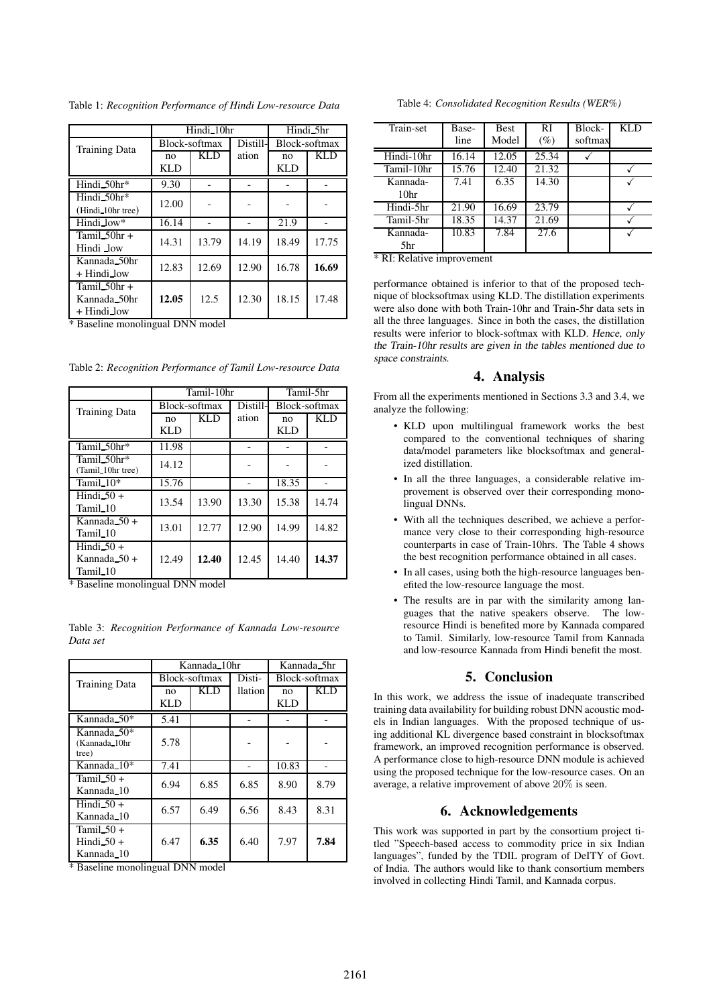Table 1: *Recognition Performance of Hindi Low-resource Data*

|                                           | Hindi <sub>-10hr</sub> |            |          | Hindi_5hr     |            |
|-------------------------------------------|------------------------|------------|----------|---------------|------------|
| <b>Training Data</b>                      | Block-softmax          |            | Distill- | Block-softmax |            |
|                                           | no                     | <b>KLD</b> | ation    | no            | <b>KLD</b> |
|                                           | KLD                    |            |          | <b>KLD</b>    |            |
| Hindi 50hr*                               | 9.30                   |            |          |               |            |
| Hindi_50hr*                               | 12.00                  |            |          |               |            |
| (Hindi_10hr tree)                         |                        |            |          |               |            |
| Hindi_low*                                | 16.14                  |            |          | 21.9          |            |
| Tamil $50hr +$                            | 14.31                  | 13.79      | 14.19    | 18.49         | 17.75      |
| Hindi low                                 |                        |            |          |               |            |
| Kannada_50hr                              | 12.83                  | 12.69      | 12.90    | 16.78         | 16.69      |
| $+$ Hindi_low                             |                        |            |          |               |            |
| Tamil $50hr +$                            |                        |            |          |               |            |
| Kannada 50hr                              | 12.05                  | 12.5       | 12.30    | 18.15         | 17.48      |
| $+$ Hindi_low<br>$\overline{\phantom{a}}$ | $\sqrt{2}$             |            |          |               |            |

\* Baseline monolingual DNN model

Table 2: *Recognition Performance of Tamil Low-resource Data*

|                                                      | Tamil-10hr    |            |          | Tamil-5hr     |            |
|------------------------------------------------------|---------------|------------|----------|---------------|------------|
| <b>Training Data</b>                                 | Block-softmax |            | Distill- | Block-softmax |            |
|                                                      | no            | <b>KLD</b> | ation    | no            | <b>KLD</b> |
|                                                      | <b>KLD</b>    |            |          | <b>KLD</b>    |            |
| Tamil 50hr*                                          | 11.98         |            |          |               |            |
| Tamil 50hr*<br>(Tamil 10hr tree)                     | 14.12         |            |          |               |            |
| Tamil $-10^*$                                        | 15.76         |            |          | 18.35         |            |
| Hindi $50+$<br>Tamil_10                              | 13.54         | 13.90      | 13.30    | 15.38         | 14.74      |
| Kannada $-50+$<br>Tamil_10                           | 13.01         | 12.77      | 12.90    | 14.99         | 14.82      |
| Hindi $50+$<br>Kannada $50+$<br>Tamil <sub>-10</sub> | 12.49         | 12.40      | 12.45    | 14.40         | 14.37      |

\* Baseline monolingual DNN model

|                          | Kannada_10hr  |            |         | Kannada_5hr   |      |
|--------------------------|---------------|------------|---------|---------------|------|
| <b>Training Data</b>     | Block-softmax |            | Disti-  | Block-softmax |      |
|                          | no.           | <b>KLD</b> | llation | no            | KL D |
|                          | <b>KLD</b>    |            |         | KLD           |      |
| Kannada_50*              | 5.41          |            |         |               |      |
| Kannada 50*              |               |            |         |               |      |
| (Kannada_10hr            | 5.78          |            |         |               |      |
| tree)                    |               |            |         |               |      |
| Kannada <sub>-10</sub> * | 7.41          |            |         | 10.83         |      |
| Tamil $50+$              | 6.94          | 6.85       | 6.85    | 8.90          | 8.79 |
| Kannada <sub>-10</sub>   |               |            |         |               |      |
| Hindi $-50+$             | 6.57          | 6.49       | 6.56    | 8.43          | 8.31 |
| Kannada <sub>-10</sub>   |               |            |         |               |      |
| Tamil $-50+$             |               |            |         |               |      |
| Hindi $50+$              | 6.47          | 6.35       | 6.40    | 7.97          | 7.84 |
| Kannada 10               |               |            |         |               |      |

Table 3: *Recognition Performance of Kannada Low-resource Data set*

\* Baseline monolingual DNN model

Table 4: *Consolidated Recognition Results (WER%)*

| Train-set        | Base- | <b>Best</b> | <b>RI</b> | Block-  | <b>KLD</b> |
|------------------|-------|-------------|-----------|---------|------------|
|                  | line  | Model       | $(\%)$    | softmax |            |
| Hindi-10hr       | 16.14 | 12.05       | 25.34     |         |            |
| Tamil-10hr       | 15.76 | 12.40       | 21.32     |         |            |
| Kannada-         | 7.41  | 6.35        | 14.30     |         |            |
| 10 <sup>hr</sup> |       |             |           |         |            |
| Hindi-5hr        | 21.90 | 16.69       | 23.79     |         |            |
| Tamil-5hr        | 18.35 | 14.37       | 21.69     |         |            |
| Kannada-         | 10.83 | 7.84        | 27.6      |         |            |
| 5hr              |       |             |           |         |            |

\* RI: Relative improvement

performance obtained is inferior to that of the proposed technique of blocksoftmax using KLD. The distillation experiments were also done with both Train-10hr and Train-5hr data sets in all the three languages. Since in both the cases, the distillation results were inferior to block-softmax with KLD. Hence, only the Train-10hr results are given in the tables mentioned due to space constraints.

### 4. Analysis

From all the experiments mentioned in Sections 3.3 and 3.4, we analyze the following:

- KLD upon multilingual framework works the best compared to the conventional techniques of sharing data/model parameters like blocksoftmax and generalized distillation.
- In all the three languages, a considerable relative improvement is observed over their corresponding monolingual DNNs.
- With all the techniques described, we achieve a performance very close to their corresponding high-resource counterparts in case of Train-10hrs. The Table 4 shows the best recognition performance obtained in all cases.
- In all cases, using both the high-resource languages benefited the low-resource language the most.
- The results are in par with the similarity among languages that the native speakers observe. The lowresource Hindi is benefited more by Kannada compared to Tamil. Similarly, low-resource Tamil from Kannada and low-resource Kannada from Hindi benefit the most.

# 5. Conclusion

In this work, we address the issue of inadequate transcribed training data availability for building robust DNN acoustic models in Indian languages. With the proposed technique of using additional KL divergence based constraint in blocksoftmax framework, an improved recognition performance is observed. A performance close to high-resource DNN module is achieved using the proposed technique for the low-resource cases. On an average, a relative improvement of above 20% is seen.

## 6. Acknowledgements

This work was supported in part by the consortium project titled "Speech-based access to commodity price in six Indian languages", funded by the TDIL program of DeITY of Govt. of India. The authors would like to thank consortium members involved in collecting Hindi Tamil, and Kannada corpus.